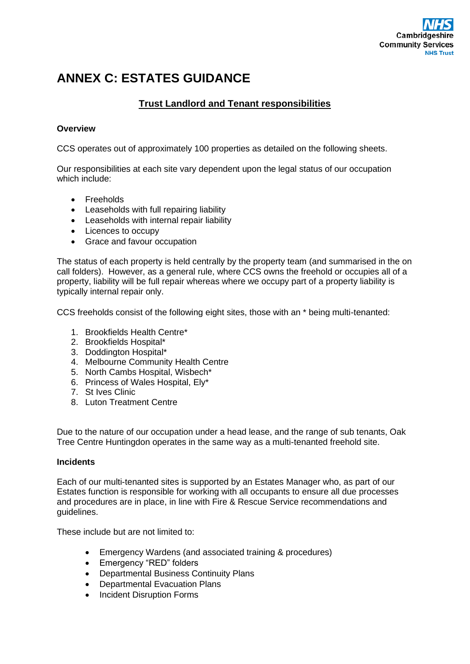

## **ANNEX C: ESTATES GUIDANCE**

## **Trust Landlord and Tenant responsibilities**

## **Overview**

CCS operates out of approximately 100 properties as detailed on the following sheets.

Our responsibilities at each site vary dependent upon the legal status of our occupation which include:

- Freeholds
- Leaseholds with full repairing liability
- Leaseholds with internal repair liability
- Licences to occupy
- Grace and favour occupation

The status of each property is held centrally by the property team (and summarised in the on call folders). However, as a general rule, where CCS owns the freehold or occupies all of a property, liability will be full repair whereas where we occupy part of a property liability is typically internal repair only.

CCS freeholds consist of the following eight sites, those with an \* being multi-tenanted:

- 1. Brookfields Health Centre\*
- 2. Brookfields Hospital\*
- 3. Doddington Hospital\*
- 4. Melbourne Community Health Centre
- 5. North Cambs Hospital, Wisbech\*
- 6. Princess of Wales Hospital, Ely\*
- 7. St Ives Clinic
- 8. Luton Treatment Centre

Due to the nature of our occupation under a head lease, and the range of sub tenants, Oak Tree Centre Huntingdon operates in the same way as a multi-tenanted freehold site.

## **Incidents**

Each of our multi-tenanted sites is supported by an Estates Manager who, as part of our Estates function is responsible for working with all occupants to ensure all due processes and procedures are in place, in line with Fire & Rescue Service recommendations and guidelines.

These include but are not limited to:

- Emergency Wardens (and associated training & procedures)
- Emergency "RED" folders
- Departmental Business Continuity Plans
- Departmental Evacuation Plans
- Incident Disruption Forms